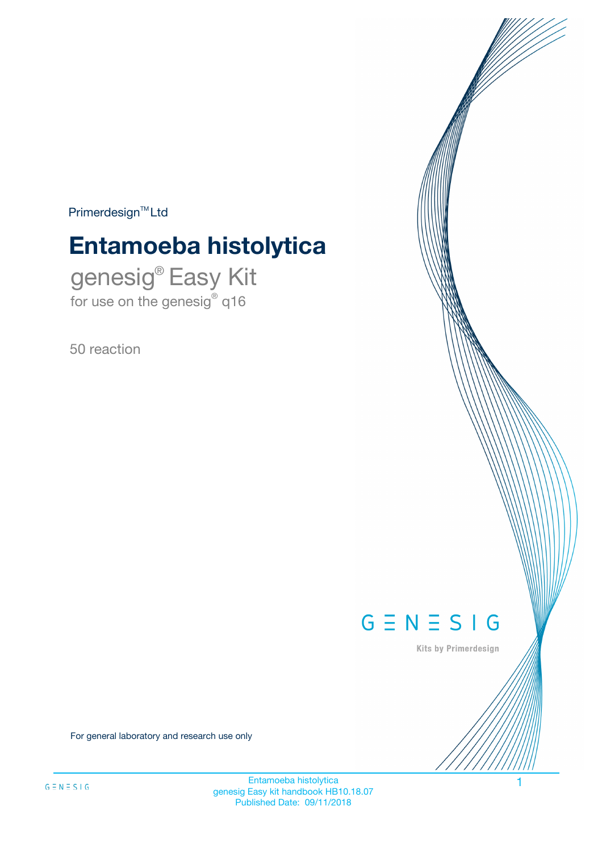$Primerdesign^{\text{TM}}Ltd$ 

# **Entamoeba histolytica**

genesig® Easy Kit for use on the genesig® q16

50 reaction



Kits by Primerdesign

For general laboratory and research use only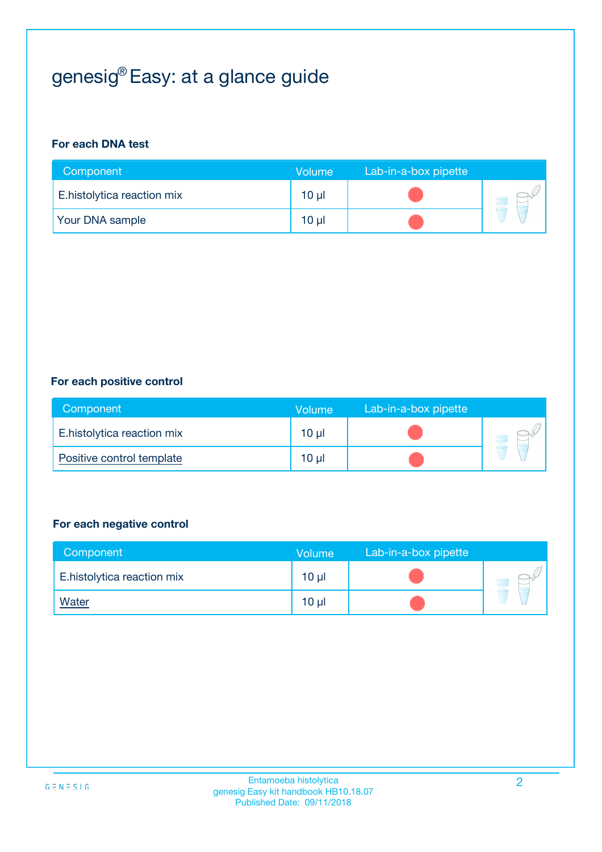# genesig® Easy: at a glance guide

#### **For each DNA test**

| Component                  | <b>Volume</b> | Lab-in-a-box pipette |  |
|----------------------------|---------------|----------------------|--|
| E.histolytica reaction mix | $10 \mu$      |                      |  |
| <b>Your DNA sample</b>     | $10 \mu$      |                      |  |

#### **For each positive control**

| Component                  | Volume          | Lab-in-a-box pipette |  |
|----------------------------|-----------------|----------------------|--|
| E.histolytica reaction mix | 10 <sub>µ</sub> |                      |  |
| Positive control template  | 10 <sub>µ</sub> |                      |  |

#### **For each negative control**

| Component                  | <b>Volume</b>   | Lab-in-a-box pipette |  |
|----------------------------|-----------------|----------------------|--|
| E.histolytica reaction mix | 10 <sub>µ</sub> |                      |  |
| <u>Water</u>               | 10 <sub>µ</sub> |                      |  |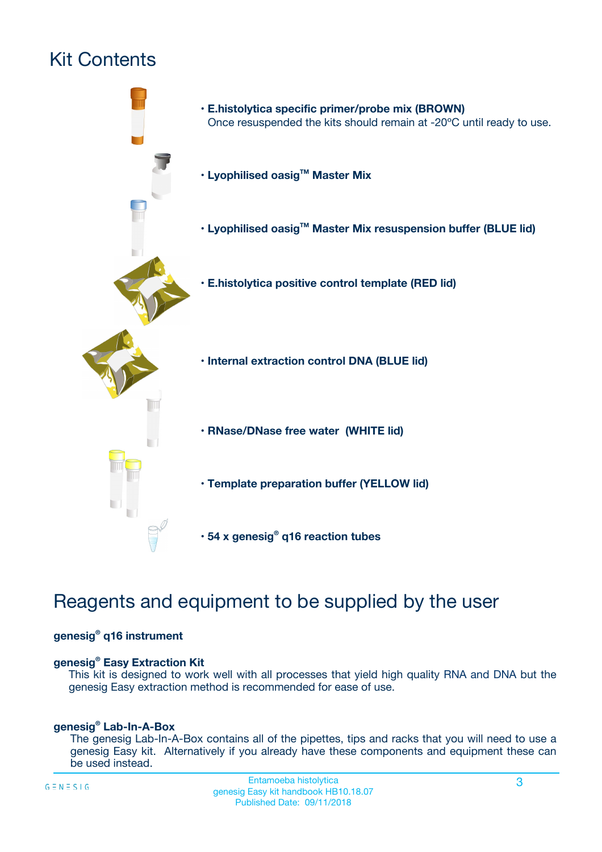# Kit Contents



## Reagents and equipment to be supplied by the user

#### **genesig® q16 instrument**

#### **genesig® Easy Extraction Kit**

This kit is designed to work well with all processes that yield high quality RNA and DNA but the genesig Easy extraction method is recommended for ease of use.

#### **genesig® Lab-In-A-Box**

The genesig Lab-In-A-Box contains all of the pipettes, tips and racks that you will need to use a genesig Easy kit. Alternatively if you already have these components and equipment these can be used instead.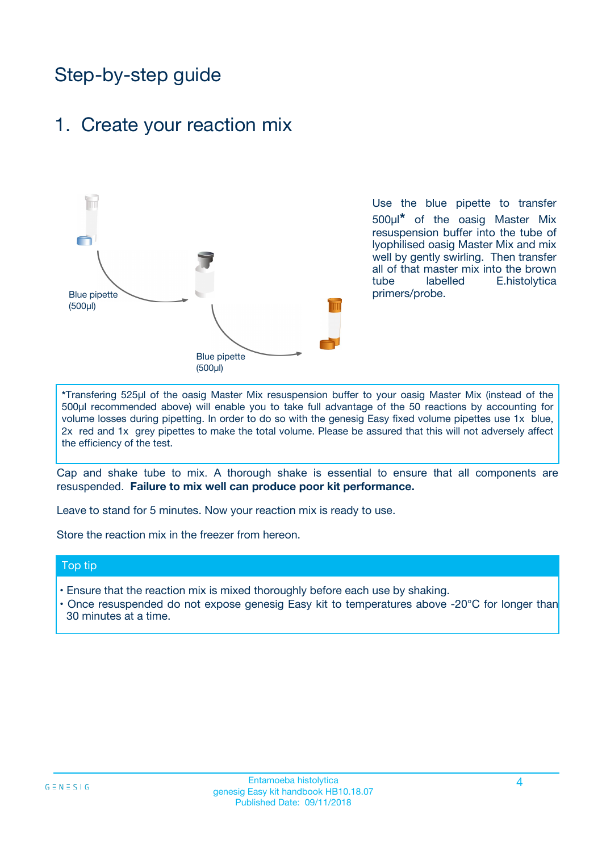## Step-by-step guide

### 1. Create your reaction mix



Use the blue pipette to transfer 500µl**\*** of the oasig Master Mix resuspension buffer into the tube of lyophilised oasig Master Mix and mix well by gently swirling. Then transfer all of that master mix into the brown tube labelled E.histolytica primers/probe.

**\***Transfering 525µl of the oasig Master Mix resuspension buffer to your oasig Master Mix (instead of the 500µl recommended above) will enable you to take full advantage of the 50 reactions by accounting for volume losses during pipetting. In order to do so with the genesig Easy fixed volume pipettes use 1x blue, 2x red and 1x grey pipettes to make the total volume. Please be assured that this will not adversely affect the efficiency of the test.

Cap and shake tube to mix. A thorough shake is essential to ensure that all components are resuspended. **Failure to mix well can produce poor kit performance.**

Leave to stand for 5 minutes. Now your reaction mix is ready to use.

Store the reaction mix in the freezer from hereon.

#### Top tip

- Ensure that the reaction mix is mixed thoroughly before each use by shaking.
- **•** Once resuspended do not expose genesig Easy kit to temperatures above -20°C for longer than 30 minutes at a time.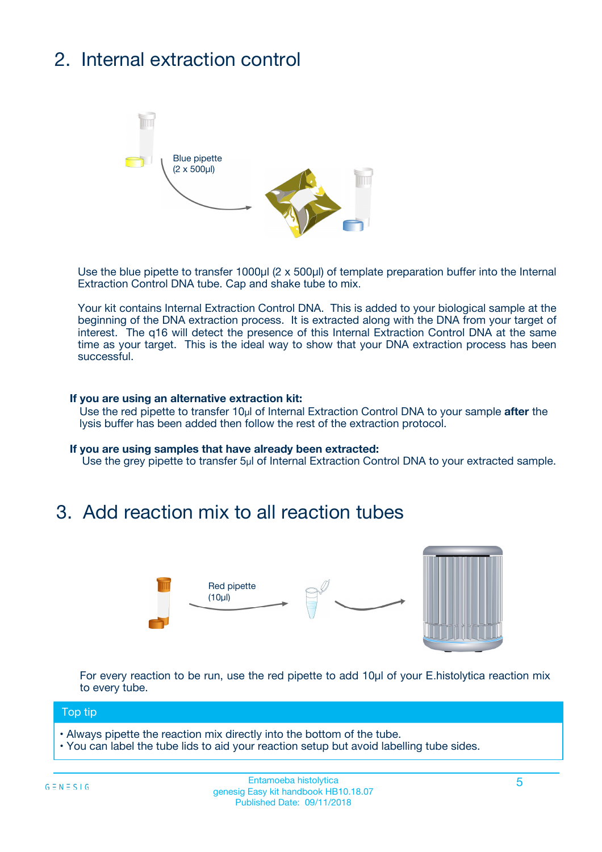# 2. Internal extraction control



Use the blue pipette to transfer 1000µl (2 x 500µl) of template preparation buffer into the Internal Extraction Control DNA tube. Cap and shake tube to mix.

Your kit contains Internal Extraction Control DNA. This is added to your biological sample at the beginning of the DNA extraction process. It is extracted along with the DNA from your target of interest. The q16 will detect the presence of this Internal Extraction Control DNA at the same time as your target. This is the ideal way to show that your DNA extraction process has been **successful.** 

#### **If you are using an alternative extraction kit:**

Use the red pipette to transfer 10µl of Internal Extraction Control DNA to your sample **after** the lysis buffer has been added then follow the rest of the extraction protocol.

#### **If you are using samples that have already been extracted:**

Use the grey pipette to transfer 5µl of Internal Extraction Control DNA to your extracted sample.

### 3. Add reaction mix to all reaction tubes



For every reaction to be run, use the red pipette to add 10µl of your E.histolytica reaction mix to every tube.

#### Top tip

- Always pipette the reaction mix directly into the bottom of the tube.
- You can label the tube lids to aid your reaction setup but avoid labelling tube sides.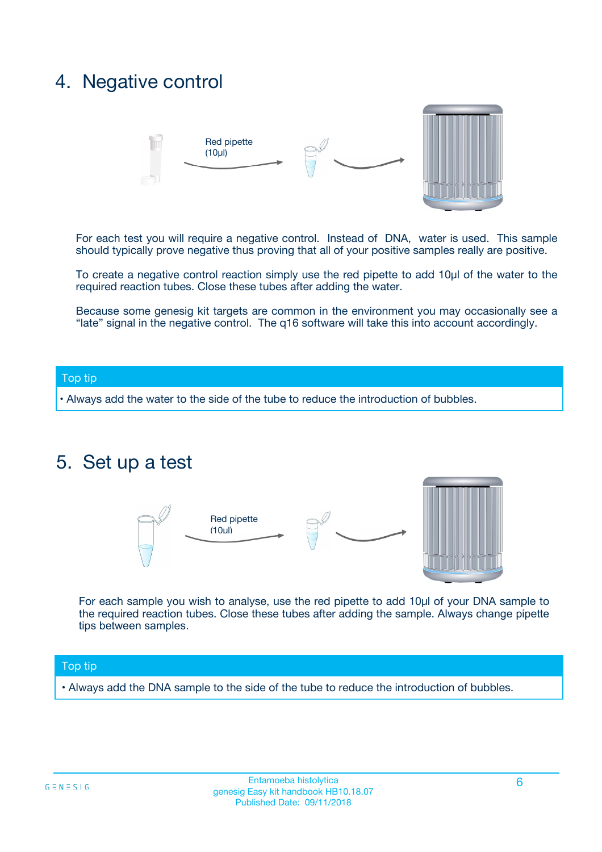### 4. Negative control



For each test you will require a negative control. Instead of DNA, water is used. This sample should typically prove negative thus proving that all of your positive samples really are positive.

To create a negative control reaction simply use the red pipette to add 10µl of the water to the required reaction tubes. Close these tubes after adding the water.

Because some genesig kit targets are common in the environment you may occasionally see a "late" signal in the negative control. The q16 software will take this into account accordingly.

#### Top tip

**•** Always add the water to the side of the tube to reduce the introduction of bubbles.

### 5. Set up a test



For each sample you wish to analyse, use the red pipette to add 10µl of your DNA sample to the required reaction tubes. Close these tubes after adding the sample. Always change pipette tips between samples.

#### Top tip

**•** Always add the DNA sample to the side of the tube to reduce the introduction of bubbles.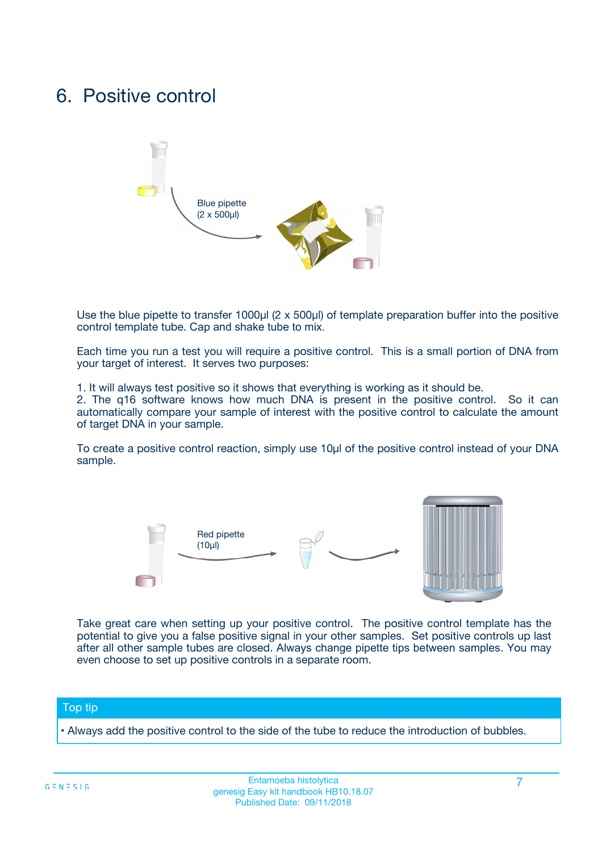### 6. Positive control



Use the blue pipette to transfer 1000µl (2 x 500µl) of template preparation buffer into the positive control template tube. Cap and shake tube to mix.

Each time you run a test you will require a positive control. This is a small portion of DNA from your target of interest. It serves two purposes:

1. It will always test positive so it shows that everything is working as it should be.

2. The q16 software knows how much DNA is present in the positive control. So it can automatically compare your sample of interest with the positive control to calculate the amount of target DNA in your sample.

To create a positive control reaction, simply use 10µl of the positive control instead of your DNA sample.



Take great care when setting up your positive control. The positive control template has the potential to give you a false positive signal in your other samples. Set positive controls up last after all other sample tubes are closed. Always change pipette tips between samples. You may even choose to set up positive controls in a separate room.

#### Top tip

**•** Always add the positive control to the side of the tube to reduce the introduction of bubbles.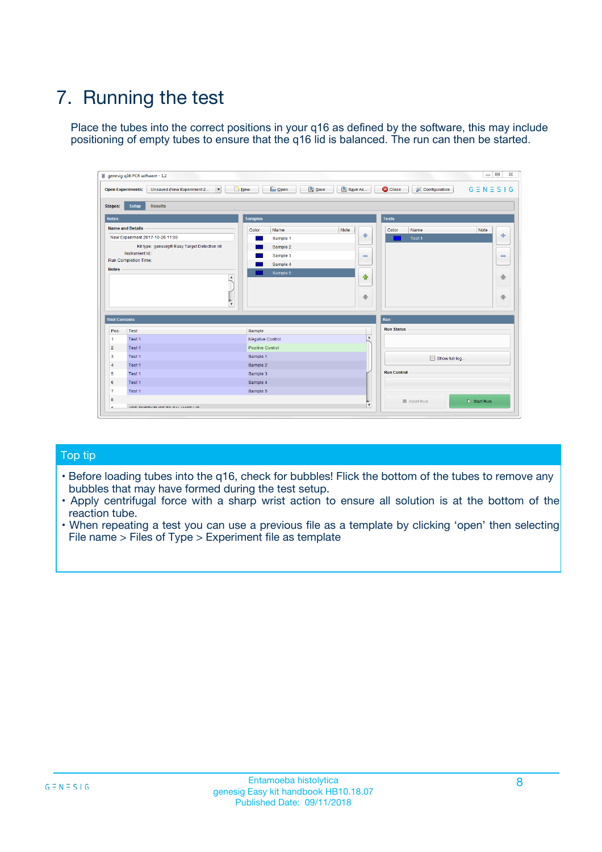# 7. Running the test

Place the tubes into the correct positions in your q16 as defined by the software, this may include positioning of empty tubes to ensure that the q16 lid is balanced. The run can then be started.

|                      | genesig q16 PCR software - 1.2                                               |                                |                              |                                          | $\begin{array}{c c c c} \hline \multicolumn{3}{c }{\textbf{0}} & \multicolumn{3}{c }{\textbf{0}} \end{array}$<br>$\Sigma\!3$ |
|----------------------|------------------------------------------------------------------------------|--------------------------------|------------------------------|------------------------------------------|------------------------------------------------------------------------------------------------------------------------------|
|                      | $\vert \cdot \vert$<br><b>Open Experiments:</b><br>Unsaved (New Experiment 2 | Open<br>Save<br>$\sqrt{9}$ New | Save As                      | <b>C</b> Close<br><b>X</b> Configuration | $G \equiv N \equiv S \mid G$                                                                                                 |
| <b>Stages:</b>       | Setup<br><b>Results</b>                                                      |                                |                              |                                          |                                                                                                                              |
| <b>Notes</b>         |                                                                              | <b>Samples</b>                 |                              | <b>Tests</b>                             |                                                                                                                              |
|                      | <b>Name and Details</b>                                                      | Color<br>Name                  | Note                         | Color<br>Name                            | Note                                                                                                                         |
|                      | New Experiment 2017-10-26 11:06                                              | Sample 1                       | ÷                            | Test 1                                   | ÷                                                                                                                            |
|                      | Kit type: genesig® Easy Target Detection kit                                 | Sample 2                       |                              |                                          |                                                                                                                              |
|                      | Instrument Id.:                                                              | Sample 3                       | $\qquad \qquad \blacksquare$ |                                          | $\qquad \qquad \blacksquare$                                                                                                 |
|                      | <b>Run Completion Time:</b>                                                  | Sample 4                       |                              |                                          |                                                                                                                              |
| <b>Notes</b>         | <b>A</b><br>v                                                                | Sample 5                       | $\triangle$<br>$\oplus$      |                                          | 4<br>₩                                                                                                                       |
| <b>Well Contents</b> |                                                                              |                                |                              | Run                                      |                                                                                                                              |
| Pos.                 | Test                                                                         | Sample                         |                              | <b>Run Status</b>                        |                                                                                                                              |
| $\overline{1}$       | Test 1                                                                       | <b>Negative Control</b>        | $\blacktriangle$             |                                          |                                                                                                                              |
| $\overline{2}$       | Test 1                                                                       | <b>Positive Control</b>        |                              |                                          |                                                                                                                              |
| 3                    | Test 1                                                                       | Sample 1                       |                              | Show full log                            |                                                                                                                              |
| $\overline{4}$       | Test 1                                                                       | Sample 2                       |                              |                                          |                                                                                                                              |
| 5                    | Test 1                                                                       | Sample 3                       |                              | <b>Run Control</b>                       |                                                                                                                              |
| 6                    | Test 1                                                                       | Sample 4                       |                              |                                          |                                                                                                                              |
| $\overline{7}$       | Test 1                                                                       | Sample 5                       |                              |                                          |                                                                                                                              |
| -8                   |                                                                              |                                |                              | Abort Run                                | $\triangleright$ Start Run                                                                                                   |
|                      | <b>JOB FURTY TURE TO BULLMAR LIB</b>                                         |                                | $\overline{\mathbf{v}}$      |                                          |                                                                                                                              |

#### Top tip

- Before loading tubes into the q16, check for bubbles! Flick the bottom of the tubes to remove any bubbles that may have formed during the test setup.
- Apply centrifugal force with a sharp wrist action to ensure all solution is at the bottom of the reaction tube.
- When repeating a test you can use a previous file as a template by clicking 'open' then selecting File name > Files of Type > Experiment file as template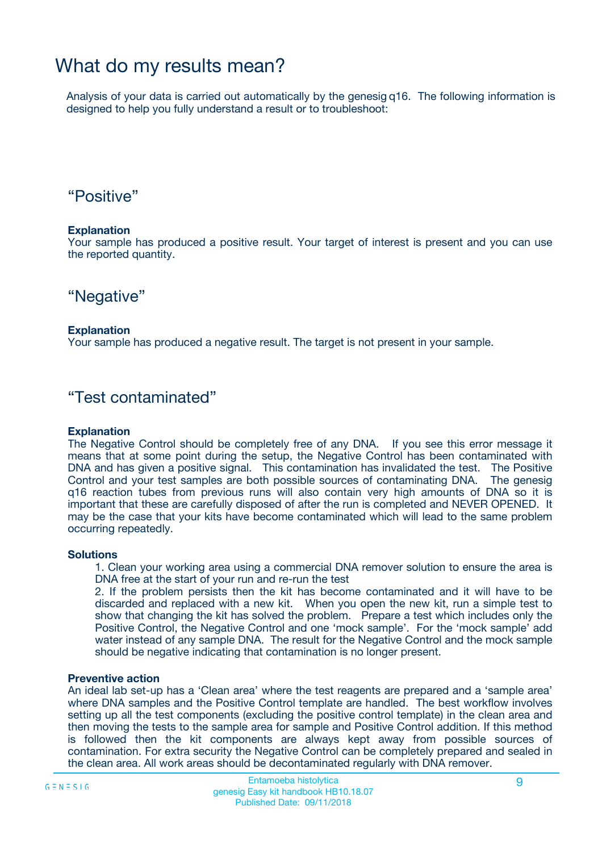## What do my results mean?

Analysis of your data is carried out automatically by the genesig q16. The following information is designed to help you fully understand a result or to troubleshoot:

### "Positive"

#### **Explanation**

Your sample has produced a positive result. Your target of interest is present and you can use the reported quantity.

"Negative"

#### **Explanation**

Your sample has produced a negative result. The target is not present in your sample.

### "Test contaminated"

#### **Explanation**

The Negative Control should be completely free of any DNA. If you see this error message it means that at some point during the setup, the Negative Control has been contaminated with DNA and has given a positive signal. This contamination has invalidated the test. The Positive Control and your test samples are both possible sources of contaminating DNA. The genesig q16 reaction tubes from previous runs will also contain very high amounts of DNA so it is important that these are carefully disposed of after the run is completed and NEVER OPENED. It may be the case that your kits have become contaminated which will lead to the same problem occurring repeatedly.

#### **Solutions**

1. Clean your working area using a commercial DNA remover solution to ensure the area is DNA free at the start of your run and re-run the test

2. If the problem persists then the kit has become contaminated and it will have to be discarded and replaced with a new kit. When you open the new kit, run a simple test to show that changing the kit has solved the problem. Prepare a test which includes only the Positive Control, the Negative Control and one 'mock sample'. For the 'mock sample' add water instead of any sample DNA. The result for the Negative Control and the mock sample should be negative indicating that contamination is no longer present.

#### **Preventive action**

An ideal lab set-up has a 'Clean area' where the test reagents are prepared and a 'sample area' where DNA samples and the Positive Control template are handled. The best workflow involves setting up all the test components (excluding the positive control template) in the clean area and then moving the tests to the sample area for sample and Positive Control addition. If this method is followed then the kit components are always kept away from possible sources of contamination. For extra security the Negative Control can be completely prepared and sealed in the clean area. All work areas should be decontaminated regularly with DNA remover.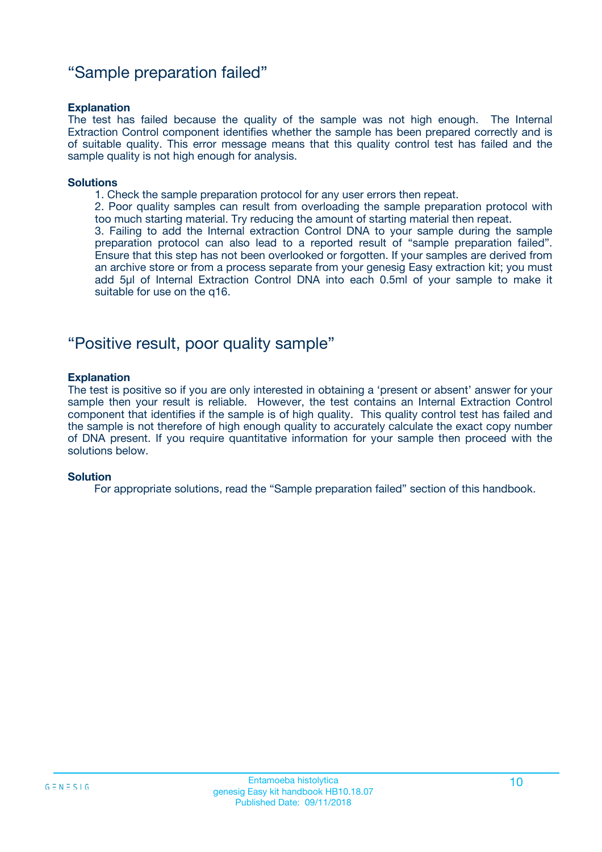### "Sample preparation failed"

#### **Explanation**

The test has failed because the quality of the sample was not high enough. The Internal Extraction Control component identifies whether the sample has been prepared correctly and is of suitable quality. This error message means that this quality control test has failed and the sample quality is not high enough for analysis.

#### **Solutions**

1. Check the sample preparation protocol for any user errors then repeat.

2. Poor quality samples can result from overloading the sample preparation protocol with too much starting material. Try reducing the amount of starting material then repeat.

3. Failing to add the Internal extraction Control DNA to your sample during the sample preparation protocol can also lead to a reported result of "sample preparation failed". Ensure that this step has not been overlooked or forgotten. If your samples are derived from an archive store or from a process separate from your genesig Easy extraction kit; you must add 5µl of Internal Extraction Control DNA into each 0.5ml of your sample to make it suitable for use on the q16.

### "Positive result, poor quality sample"

#### **Explanation**

The test is positive so if you are only interested in obtaining a 'present or absent' answer for your sample then your result is reliable. However, the test contains an Internal Extraction Control component that identifies if the sample is of high quality. This quality control test has failed and the sample is not therefore of high enough quality to accurately calculate the exact copy number of DNA present. If you require quantitative information for your sample then proceed with the solutions below.

#### **Solution**

For appropriate solutions, read the "Sample preparation failed" section of this handbook.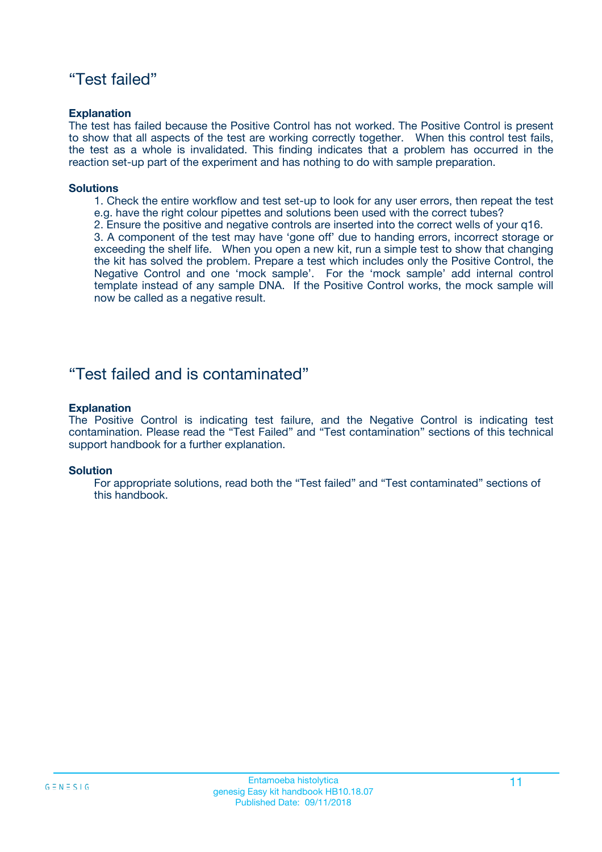### "Test failed"

#### **Explanation**

The test has failed because the Positive Control has not worked. The Positive Control is present to show that all aspects of the test are working correctly together. When this control test fails, the test as a whole is invalidated. This finding indicates that a problem has occurred in the reaction set-up part of the experiment and has nothing to do with sample preparation.

#### **Solutions**

- 1. Check the entire workflow and test set-up to look for any user errors, then repeat the test e.g. have the right colour pipettes and solutions been used with the correct tubes?
- 2. Ensure the positive and negative controls are inserted into the correct wells of your q16.

3. A component of the test may have 'gone off' due to handing errors, incorrect storage or exceeding the shelf life. When you open a new kit, run a simple test to show that changing the kit has solved the problem. Prepare a test which includes only the Positive Control, the Negative Control and one 'mock sample'. For the 'mock sample' add internal control template instead of any sample DNA. If the Positive Control works, the mock sample will now be called as a negative result.

### "Test failed and is contaminated"

#### **Explanation**

The Positive Control is indicating test failure, and the Negative Control is indicating test contamination. Please read the "Test Failed" and "Test contamination" sections of this technical support handbook for a further explanation.

#### **Solution**

For appropriate solutions, read both the "Test failed" and "Test contaminated" sections of this handbook.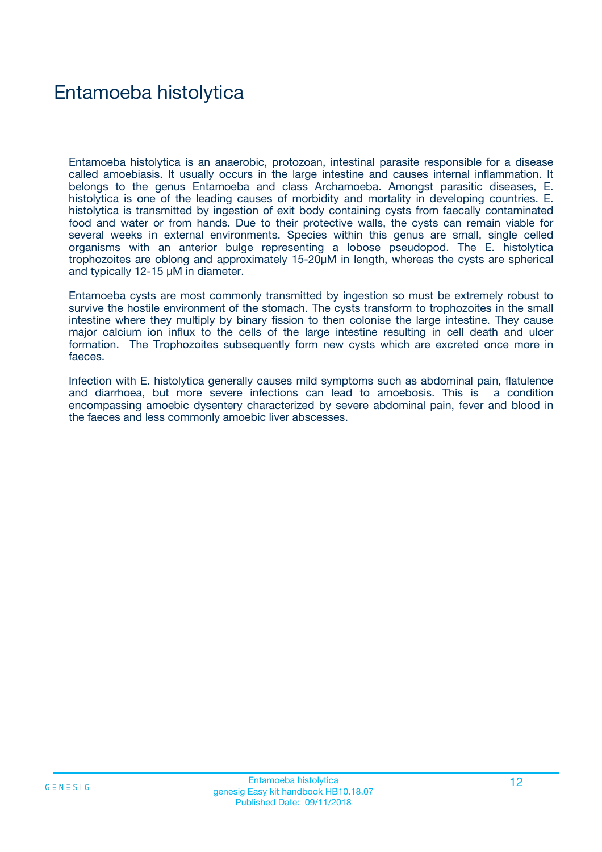## Entamoeba histolytica

Entamoeba histolytica is an anaerobic, protozoan, intestinal parasite responsible for a disease called amoebiasis. It usually occurs in the large intestine and causes internal inflammation. It belongs to the genus Entamoeba and class Archamoeba. Amongst parasitic diseases, E. histolytica is one of the leading causes of morbidity and mortality in developing countries. E. histolytica is transmitted by ingestion of exit body containing cysts from faecally contaminated food and water or from hands. Due to their protective walls, the cysts can remain viable for several weeks in external environments. Species within this genus are small, single celled organisms with an anterior bulge representing a lobose pseudopod. The E. histolytica trophozoites are oblong and approximately 15-20µM in length, whereas the cysts are spherical and typically 12-15 µM in diameter.

Entamoeba cysts are most commonly transmitted by ingestion so must be extremely robust to survive the hostile environment of the stomach. The cysts transform to trophozoites in the small intestine where they multiply by binary fission to then colonise the large intestine. They cause major calcium ion influx to the cells of the large intestine resulting in cell death and ulcer formation. The Trophozoites subsequently form new cysts which are excreted once more in faeces.

Infection with E. histolytica generally causes mild symptoms such as abdominal pain, flatulence and diarrhoea, but more severe infections can lead to amoebosis. This is a condition encompassing amoebic dysentery characterized by severe abdominal pain, fever and blood in the faeces and less commonly amoebic liver abscesses.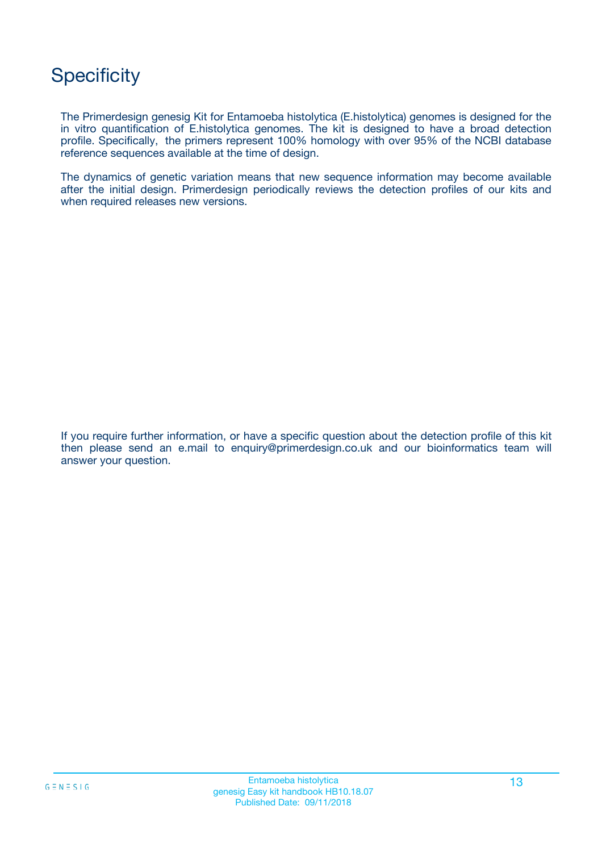## **Specificity**

The Primerdesign genesig Kit for Entamoeba histolytica (E.histolytica) genomes is designed for the in vitro quantification of E.histolytica genomes. The kit is designed to have a broad detection profile. Specifically, the primers represent 100% homology with over 95% of the NCBI database reference sequences available at the time of design.

The dynamics of genetic variation means that new sequence information may become available after the initial design. Primerdesign periodically reviews the detection profiles of our kits and when required releases new versions.

If you require further information, or have a specific question about the detection profile of this kit then please send an e.mail to enquiry@primerdesign.co.uk and our bioinformatics team will answer your question.